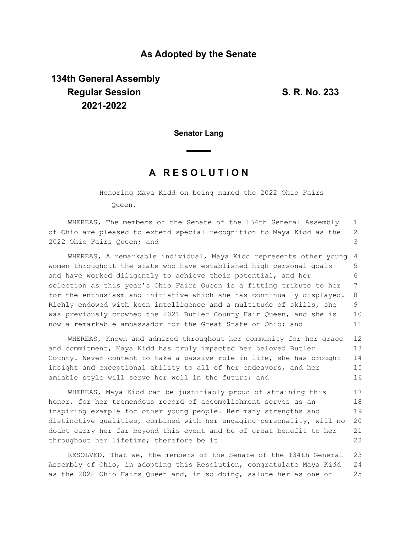### **As Adopted by the Senate**

# **134th General Assembly Regular Session S. R. No. 233 2021-2022**

**Senator Lang**

## **A R E S O L U T I O N**

Honoring Maya Kidd on being named the 2022 Ohio Fairs Queen.

WHEREAS, The members of the Senate of the 134th General Assembly of Ohio are pleased to extend special recognition to Maya Kidd as the 2022 Ohio Fairs Queen; and 1 2 3

WHEREAS, A remarkable individual, Maya Kidd represents other young women throughout the state who have established high personal goals and have worked diligently to achieve their potential, and her selection as this year's Ohio Fairs Queen is a fitting tribute to her for the enthusiasm and initiative which she has continually displayed. Richly endowed with keen intelligence and a multitude of skills, she was previously crowned the 2021 Butler County Fair Queen, and she is now a remarkable ambassador for the Great State of Ohio; and 4 5 6 7 8 9 10 11

WHEREAS, Known and admired throughout her community for her grace and commitment, Maya Kidd has truly impacted her beloved Butler County. Never content to take a passive role in life, she has brought insight and exceptional ability to all of her endeavors, and her amiable style will serve her well in the future; and 12 13 14 15 16

WHEREAS, Maya Kidd can be justifiably proud of attaining this honor, for her tremendous record of accomplishment serves as an inspiring example for other young people. Her many strengths and distinctive qualities, combined with her engaging personality, will no doubt carry her far beyond this event and be of great benefit to her throughout her lifetime; therefore be it 17 18 19 20 21 22

RESOLVED, That we, the members of the Senate of the 134th General Assembly of Ohio, in adopting this Resolution, congratulate Maya Kidd as the 2022 Ohio Fairs Queen and, in so doing, salute her as one of 23 24 25